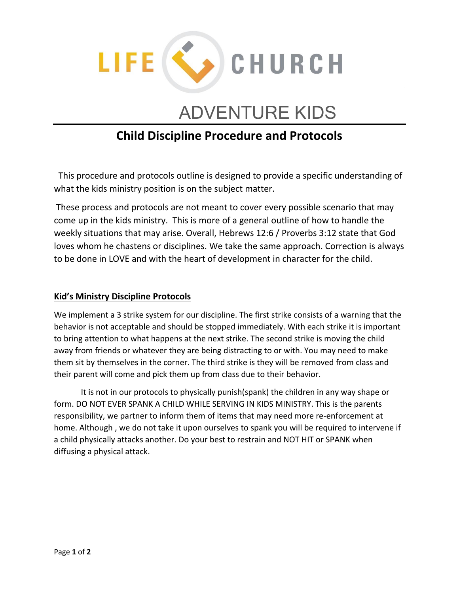

## ADVENTURE KIDS

## **Child Discipline Procedure and Protocols**

This procedure and protocols outline is designed to provide a specific understanding of what the kids ministry position is on the subject matter.

These process and protocols are not meant to cover every possible scenario that may come up in the kids ministry. This is more of a general outline of how to handle the weekly situations that may arise. Overall, Hebrews 12:6 / Proverbs 3:12 state that God loves whom he chastens or disciplines. We take the same approach. Correction is always to be done in LOVE and with the heart of development in character for the child.

## **Kid's Ministry Discipline Protocols**

We implement a 3 strike system for our discipline. The first strike consists of a warning that the behavior is not acceptable and should be stopped immediately. With each strike it is important to bring attention to what happens at the next strike. The second strike is moving the child away from friends or whatever they are being distracting to or with. You may need to make them sit by themselves in the corner. The third strike is they will be removed from class and their parent will come and pick them up from class due to their behavior.

It is not in our protocols to physically punish(spank) the children in any way shape or form. DO NOT EVER SPANK A CHILD WHILE SERVING IN KIDS MINISTRY. This is the parents responsibility, we partner to inform them of items that may need more re-enforcement at home. Although , we do not take it upon ourselves to spank you will be required to intervene if a child physically attacks another. Do your best to restrain and NOT HIT or SPANK when diffusing a physical attack.